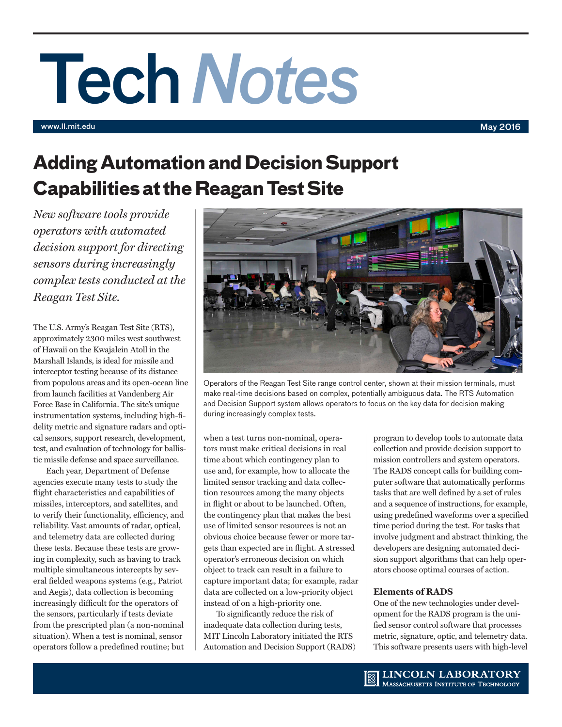# Tech*Notes*

www.ll.mit.edu May 2016

## **Adding Automation and Decision Support Capabilities at the Reagan Test Site**

*New software tools provide operators with automated decision support for directing sensors during increasingly complex tests conducted at the Reagan Test Site.* 

The U.S. Army's Reagan Test Site (RTS), approximately 2300 miles west southwest of Hawaii on the Kwajalein Atoll in the Marshall Islands, is ideal for missile and interceptor testing because of its distance from populous areas and its open-ocean line from launch facilities at Vandenberg Air Force Base in California. The site's unique instrumentation systems, including high-fidelity metric and signature radars and optical sensors, support research, development, test, and evaluation of technology for ballistic missile defense and space surveillance.

Each year, Department of Defense agencies execute many tests to study the flight characteristics and capabilities of missiles, interceptors, and satellites, and to verify their functionality, efficiency, and reliability. Vast amounts of radar, optical, and telemetry data are collected during these tests. Because these tests are growing in complexity, such as having to track multiple simultaneous intercepts by several fielded weapons systems (e.g., Patriot and Aegis), data collection is becoming increasingly difficult for the operators of the sensors, particularly if tests deviate from the prescripted plan (a non-nominal situation). When a test is nominal, sensor operators follow a predefined routine; but



Operators of the Reagan Test Site range control center, shown at their mission terminals, must make real-time decisions based on complex, potentially ambiguous data. The RTS Automation and Decision Support system allows operators to focus on the key data for decision making during increasingly complex tests.

when a test turns non-nominal, operators must make critical decisions in real time about which contingency plan to use and, for example, how to allocate the limited sensor tracking and data collection resources among the many objects in flight or about to be launched. Often, the contingency plan that makes the best use of limited sensor resources is not an obvious choice because fewer or more targets than expected are in flight. A stressed operator's erroneous decision on which object to track can result in a failure to capture important data; for example, radar data are collected on a low-priority object instead of on a high-priority one.

To significantly reduce the risk of inadequate data collection during tests, MIT Lincoln Laboratory initiated the RTS Automation and Decision Support (RADS) program to develop tools to automate data collection and provide decision support to mission controllers and system operators. The RADS concept calls for building computer software that automatically performs tasks that are well defined by a set of rules and a sequence of instructions, for example, using predefined waveforms over a specified time period during the test. For tasks that involve judgment and abstract thinking, the developers are designing automated decision support algorithms that can help operators choose optimal courses of action.

### **Elements of RADS**

One of the new technologies under development for the RADS program is the unified sensor control software that processes metric, signature, optic, and telemetry data. This software presents users with high-level